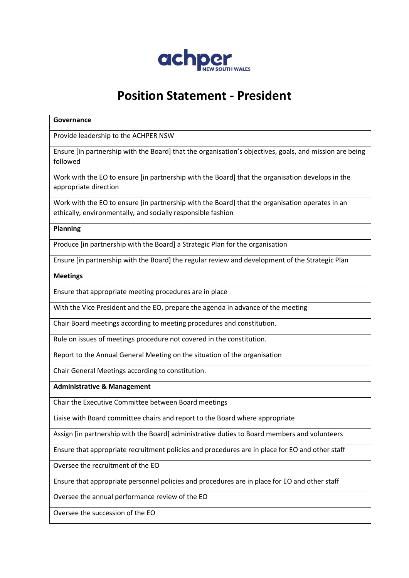

## **Position Statement - President**

# **Governance** Provide leadership to the ACHPER NSW Ensure [in partnership with the Board] that the organisation's objectives, goals, and mission are being followed Work with the EO to ensure [in partnership with the Board] that the organisation develops in the appropriate direction Work with the EO to ensure [in partnership with the Board] that the organisation operates in an ethically, environmentally, and socially responsible fashion **Planning** Produce [in partnership with the Board] a Strategic Plan for the organisation Ensure [in partnership with the Board] the regular review and development of the Strategic Plan **Meetings** Ensure that appropriate meeting procedures are in place With the Vice President and the EO, prepare the agenda in advance of the meeting Chair Board meetings according to meeting procedures and constitution. Rule on issues of meetings procedure not covered in the constitution. Report to the Annual General Meeting on the situation of the organisation Chair General Meetings according to constitution. **Administrative & Management** Chair the Executive Committee between Board meetings Liaise with Board committee chairs and report to the Board where appropriate Assign [in partnership with the Board] administrative duties to Board members and volunteers Ensure that appropriate recruitment policies and procedures are in place for EO and other staff Oversee the recruitment of the EO Ensure that appropriate personnel policies and procedures are in place for EO and other staff Oversee the annual performance review of the EO Oversee the succession of the EO